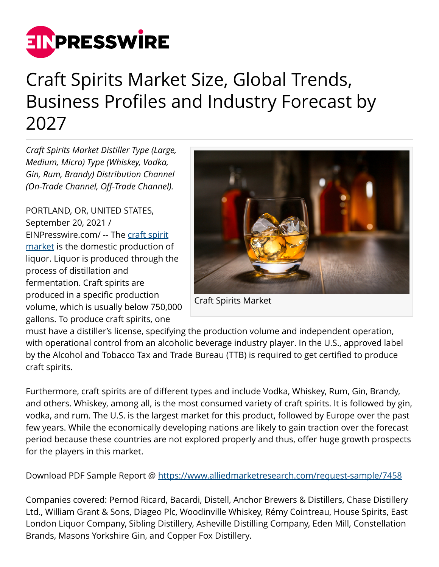

# Craft Spirits Market Size, Global Trends, Business Profiles and Industry Forecast by 2027

*Craft Spirits Market Distiller Type (Large, Medium, Micro) Type (Whiskey, Vodka, Gin, Rum, Brandy) Distribution Channel (On-Trade Channel, Off-Trade Channel).*

PORTLAND, OR, UNITED STATES, September 20, 2021 / [EINPresswire.com](http://www.einpresswire.com)/ -- The [craft spirit](https://www.alliedmarketresearch.com/craft-spirits-market-A07093) [market](https://www.alliedmarketresearch.com/craft-spirits-market-A07093) is the domestic production of liquor. Liquor is produced through the process of distillation and fermentation. Craft spirits are produced in a specific production volume, which is usually below 750,000 gallons. To produce craft spirits, one



Craft Spirits Market

must have a distiller's license, specifying the production volume and independent operation, with operational control from an alcoholic beverage industry player. In the U.S., approved label by the Alcohol and Tobacco Tax and Trade Bureau (TTB) is required to get certified to produce craft spirits.

Furthermore, craft spirits are of different types and include Vodka, Whiskey, Rum, Gin, Brandy, and others. Whiskey, among all, is the most consumed variety of craft spirits. It is followed by gin, vodka, and rum. The U.S. is the largest market for this product, followed by Europe over the past few years. While the economically developing nations are likely to gain traction over the forecast period because these countries are not explored properly and thus, offer huge growth prospects for the players in this market.

Download PDF Sample Report @ <https://www.alliedmarketresearch.com/request-sample/7458>

Companies covered: Pernod Ricard, Bacardi, Distell, Anchor Brewers & Distillers, Chase Distillery Ltd., William Grant & Sons, Diageo Plc, Woodinville Whiskey, Rémy Cointreau, House Spirits, East London Liquor Company, Sibling Distillery, Asheville Distilling Company, Eden Mill, Constellation Brands, Masons Yorkshire Gin, and Copper Fox Distillery.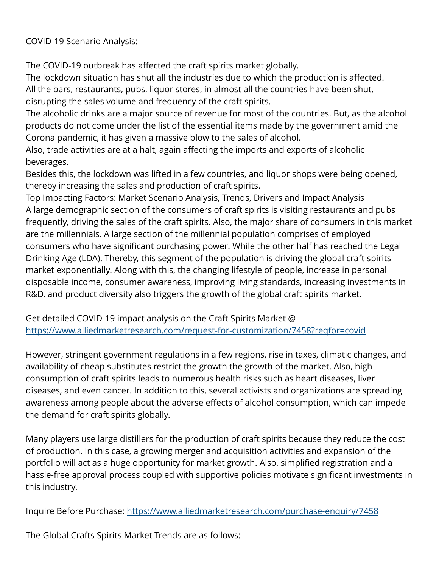COVID-19 Scenario Analysis:

The COVID-19 outbreak has affected the craft spirits market globally.

The lockdown situation has shut all the industries due to which the production is affected. All the bars, restaurants, pubs, liquor stores, in almost all the countries have been shut, disrupting the sales volume and frequency of the craft spirits.

The alcoholic drinks are a major source of revenue for most of the countries. But, as the alcohol products do not come under the list of the essential items made by the government amid the Corona pandemic, it has given a massive blow to the sales of alcohol.

Also, trade activities are at a halt, again affecting the imports and exports of alcoholic beverages.

Besides this, the lockdown was lifted in a few countries, and liquor shops were being opened, thereby increasing the sales and production of craft spirits.

Top Impacting Factors: Market Scenario Analysis, Trends, Drivers and Impact Analysis A large demographic section of the consumers of craft spirits is visiting restaurants and pubs frequently, driving the sales of the craft spirits. Also, the major share of consumers in this market are the millennials. A large section of the millennial population comprises of employed consumers who have significant purchasing power. While the other half has reached the Legal Drinking Age (LDA). Thereby, this segment of the population is driving the global craft spirits market exponentially. Along with this, the changing lifestyle of people, increase in personal disposable income, consumer awareness, improving living standards, increasing investments in R&D, and product diversity also triggers the growth of the global craft spirits market.

Get detailed COVID-19 impact analysis on the Craft Spirits Market @ <https://www.alliedmarketresearch.com/request-for-customization/7458?reqfor=covid>

However, stringent government regulations in a few regions, rise in taxes, climatic changes, and availability of cheap substitutes restrict the growth the growth of the market. Also, high consumption of craft spirits leads to numerous health risks such as heart diseases, liver diseases, and even cancer. In addition to this, several activists and organizations are spreading awareness among people about the adverse effects of alcohol consumption, which can impede the demand for craft spirits globally.

Many players use large distillers for the production of craft spirits because they reduce the cost of production. In this case, a growing merger and acquisition activities and expansion of the portfolio will act as a huge opportunity for market growth. Also, simplified registration and a hassle-free approval process coupled with supportive policies motivate significant investments in this industry.

Inquire Before Purchase: <https://www.alliedmarketresearch.com/purchase-enquiry/7458>

The Global Crafts Spirits Market Trends are as follows: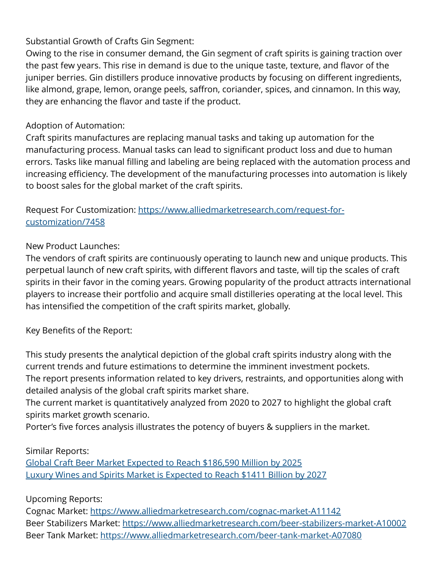## Substantial Growth of Crafts Gin Segment:

Owing to the rise in consumer demand, the Gin segment of craft spirits is gaining traction over the past few years. This rise in demand is due to the unique taste, texture, and flavor of the juniper berries. Gin distillers produce innovative products by focusing on different ingredients, like almond, grape, lemon, orange peels, saffron, coriander, spices, and cinnamon. In this way, they are enhancing the flavor and taste if the product.

### Adoption of Automation:

Craft spirits manufactures are replacing manual tasks and taking up automation for the manufacturing process. Manual tasks can lead to significant product loss and due to human errors. Tasks like manual filling and labeling are being replaced with the automation process and increasing efficiency. The development of the manufacturing processes into automation is likely to boost sales for the global market of the craft spirits.

Request For Customization: [https://www.alliedmarketresearch.com/request-for](https://www.alliedmarketresearch.com/request-for-customization/7458)[customization/7458](https://www.alliedmarketresearch.com/request-for-customization/7458)

## New Product Launches:

The vendors of craft spirits are continuously operating to launch new and unique products. This perpetual launch of new craft spirits, with different flavors and taste, will tip the scales of craft spirits in their favor in the coming years. Growing popularity of the product attracts international players to increase their portfolio and acquire small distilleries operating at the local level. This has intensified the competition of the craft spirits market, globally.

### Key Benefits of the Report:

This study presents the analytical depiction of the global craft spirits industry along with the current trends and future estimations to determine the imminent investment pockets. The report presents information related to key drivers, restraints, and opportunities along with detailed analysis of the global craft spirits market share.

The current market is quantitatively analyzed from 2020 to 2027 to highlight the global craft spirits market growth scenario.

Porter's five forces analysis illustrates the potency of buyers & suppliers in the market.

### Similar Reports:

[Global Craft Beer Market Expected to Reach \\$186,590 Million by 2025](https://www.alliedmarketresearch.com/craft-beer-market) [Luxury Wines and Spirits Market is Expected to Reach \\$1411 Billion by 2027](https://www.alliedmarketresearch.com/luxury-wines-and-spirits-market)

## Upcoming Reports:

Cognac Market: <https://www.alliedmarketresearch.com/cognac-market-A11142> Beer Stabilizers Market: <https://www.alliedmarketresearch.com/beer-stabilizers-market-A10002> Beer Tank Market:<https://www.alliedmarketresearch.com/beer-tank-market-A07080>